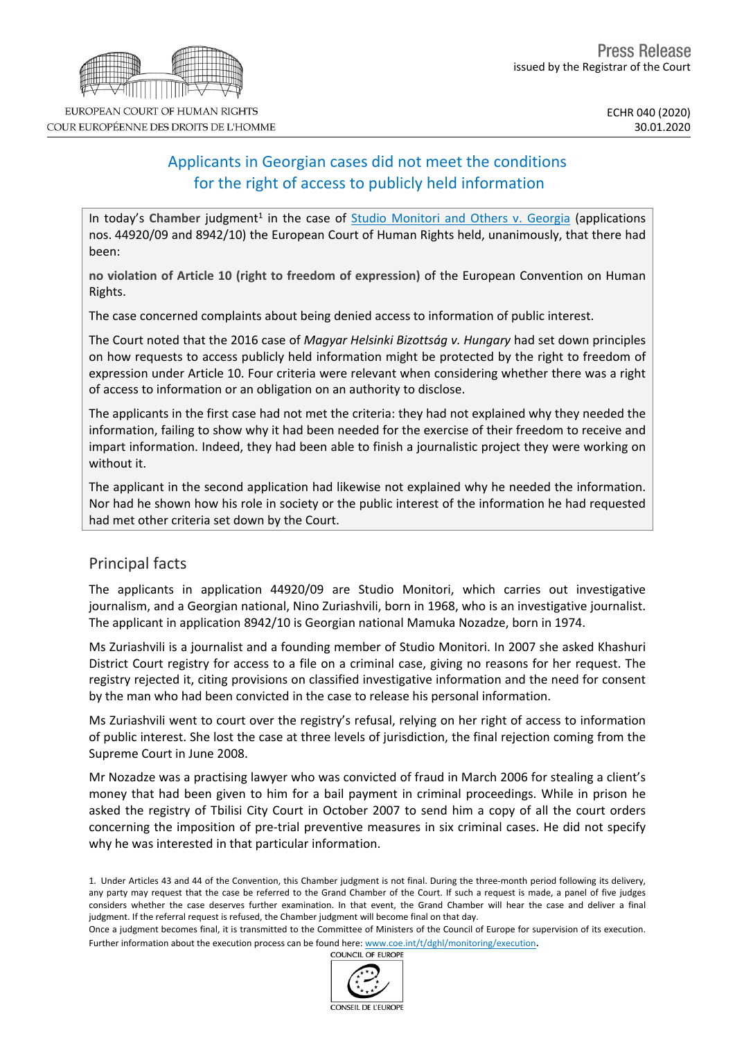# Applicants in Georgian cases did not meet the conditions for the right of access to publicly held information

In today's Chamber judgment<sup>1</sup> in the case of Studio [Monitori](http://hudoc.echr.coe.int/eng?i=001-200435) and Others v. Georgia (applications nos. 44920/09 and 8942/10) the European Court of Human Rights held, unanimously, that there had been:

**no violation of Article 10 (right to freedom of expression)** of the European Convention on Human Rights.

The case concerned complaints about being denied access to information of public interest.

The Court noted that the 2016 case of *Magyar Helsinki Bizottság v. Hungary* had set down principles on how requests to access publicly held information might be protected by the right to freedom of expression under Article 10. Four criteria were relevant when considering whether there was a right of access to information or an obligation on an authority to disclose.

The applicants in the first case had not met the criteria: they had not explained why they needed the information, failing to show why it had been needed for the exercise of their freedom to receive and impart information. Indeed, they had been able to finish a journalistic project they were working on without it.

The applicant in the second application had likewise not explained why he needed the information. Nor had he shown how his role in society or the public interest of the information he had requested had met other criteria set down by the Court.

## Principal facts

The applicants in application 44920/09 are Studio Monitori, which carries out investigative journalism, and a Georgian national, Nino Zuriashvili, born in 1968, who is an investigative journalist. The applicant in application 8942/10 is Georgian national Mamuka Nozadze, born in 1974.

Ms Zuriashvili is a journalist and a founding member of Studio Monitori. In 2007 she asked Khashuri District Court registry for access to a file on a criminal case, giving no reasons for her request. The registry rejected it, citing provisions on classified investigative information and the need for consent by the man who had been convicted in the case to release his personal information.

Ms Zuriashvili went to court over the registry's refusal, relying on her right of access to information of public interest. She lost the case at three levels of jurisdiction, the final rejection coming from the Supreme Court in June 2008.

Mr Nozadze was a practising lawyer who was convicted of fraud in March 2006 for stealing a client's money that had been given to him for a bail payment in criminal proceedings. While in prison he asked the registry of Tbilisi City Court in October 2007 to send him a copy of all the court orders concerning the imposition of pre-trial preventive measures in six criminal cases. He did not specify why he was interested in that particular information.

1. Under Articles 43 and 44 of the Convention, this Chamber judgment is not final. During the three-month period following its delivery, any party may request that the case be referred to the Grand Chamber of the Court. If such a request is made, a panel of five judges considers whether the case deserves further examination. In that event, the Grand Chamber will hear the case and deliver a final judgment. If the referral request is refused, the Chamber judgment will become final on that day.

Once a judgment becomes final, it is transmitted to the Committee of Ministers of the Council of Europe for supervision of its execution. Further information about the execution process can be found here: [www.coe.int/t/dghl/monitoring/execution](http://www.coe.int/t/dghl/monitoring/execution).<br>COUNCIL OF FUROPE



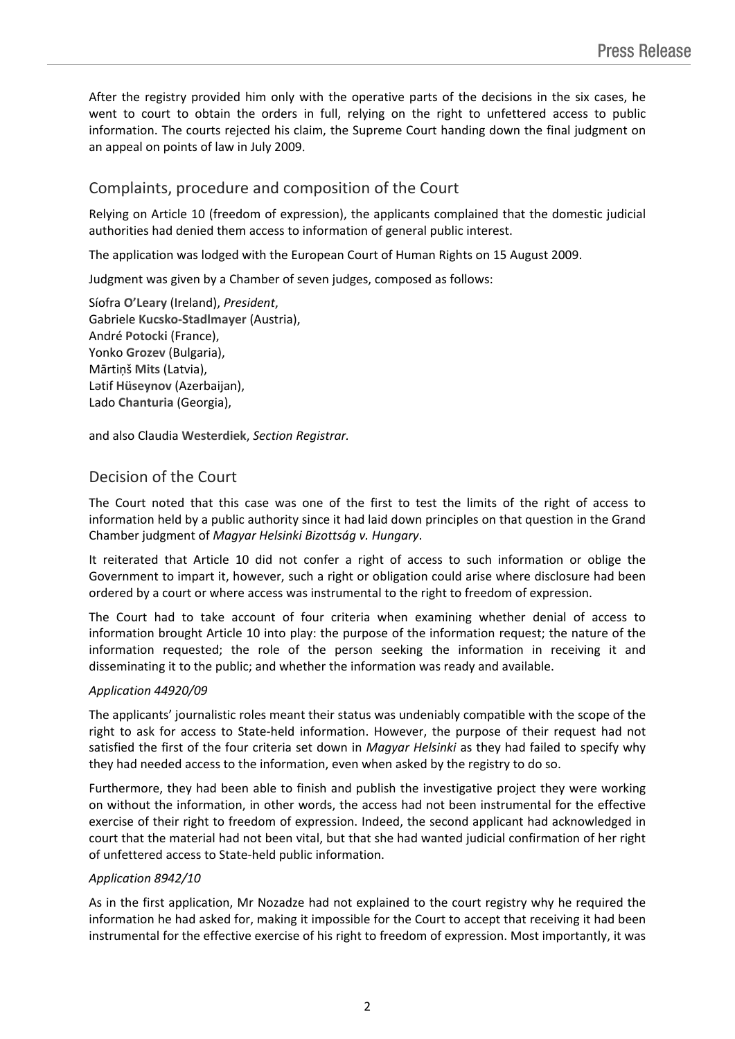After the registry provided him only with the operative parts of the decisions in the six cases, he went to court to obtain the orders in full, relying on the right to unfettered access to public information. The courts rejected his claim, the Supreme Court handing down the final judgment on an appeal on points of law in July 2009.

### Complaints, procedure and composition of the Court

Relying on Article 10 (freedom of expression), the applicants complained that the domestic judicial authorities had denied them access to information of general public interest.

The application was lodged with the European Court of Human Rights on 15 August 2009.

Judgment was given by a Chamber of seven judges, composed as follows:

Síofra **O'Leary** (Ireland), *President*, Gabriele **Kucsko-Stadlmayer** (Austria), André **Potocki** (France), Yonko **Grozev** (Bulgaria), Mārtiņš **Mits** (Latvia), Lәtif **Hüseynov** (Azerbaijan), Lado **Chanturia** (Georgia),

and also Claudia **Westerdiek**, *Section Registrar.*

#### Decision of the Court

The Court noted that this case was one of the first to test the limits of the right of access to information held by a public authority since it had laid down principles on that question in the Grand Chamber judgment of *Magyar Helsinki Bizottság v. Hungary*.

It reiterated that Article 10 did not confer a right of access to such information or oblige the Government to impart it, however, such a right or obligation could arise where disclosure had been ordered by a court or where access was instrumental to the right to freedom of expression.

The Court had to take account of four criteria when examining whether denial of access to information brought Article 10 into play: the purpose of the information request; the nature of the information requested; the role of the person seeking the information in receiving it and disseminating it to the public; and whether the information was ready and available.

#### *Application 44920/09*

The applicants' journalistic roles meant their status was undeniably compatible with the scope of the right to ask for access to State-held information. However, the purpose of their request had not satisfied the first of the four criteria set down in *Magyar Helsinki* as they had failed to specify why they had needed access to the information, even when asked by the registry to do so.

Furthermore, they had been able to finish and publish the investigative project they were working on without the information, in other words, the access had not been instrumental for the effective exercise of their right to freedom of expression. Indeed, the second applicant had acknowledged in court that the material had not been vital, but that she had wanted judicial confirmation of her right of unfettered access to State-held public information.

#### *Application 8942/10*

As in the first application, Mr Nozadze had not explained to the court registry why he required the information he had asked for, making it impossible for the Court to accept that receiving it had been instrumental for the effective exercise of his right to freedom of expression. Most importantly, it was